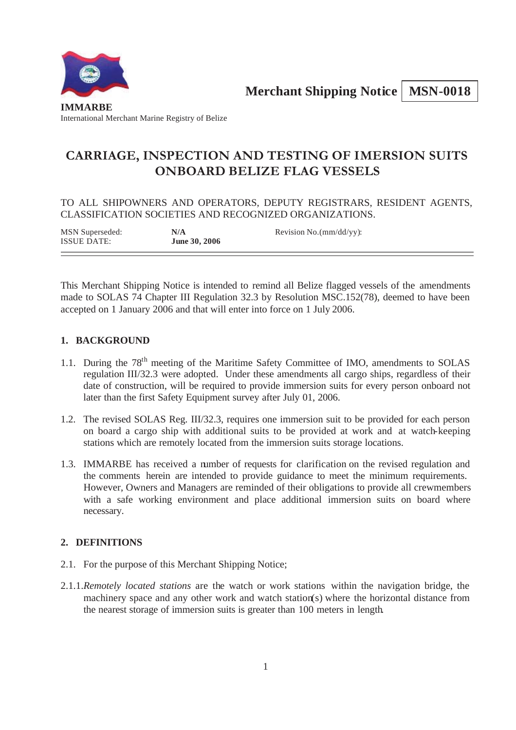**Merchant Shipping Notice | MSN-0018** 



# **CARRIAGE, INSPECTION AND TESTING OF IMERSION SUITS ONBOARD BELIZE FLAG VESSELS**

TO ALL SHIPOWNERS AND OPERATORS, DEPUTY REGISTRARS, RESIDENT AGENTS, CLASSIFICATION SOCIETIES AND RECOGNIZED ORGANIZATIONS.

MSN Superseded: **N/A** Revision No.(mm/dd/yy): ISSUE DATE: **June 30, 2006**

This Merchant Shipping Notice is intended to remind all Belize flagged vessels of the amendments made to SOLAS 74 Chapter III Regulation 32.3 by Resolution MSC.152(78), deemed to have been accepted on 1 January 2006 and that will enter into force on 1 July 2006.

# **1. BACKGROUND**

- 1.1. During the 78<sup>th</sup> meeting of the Maritime Safety Committee of IMO, amendments to SOLAS regulation III/32.3 were adopted. Under these amendments all cargo ships, regardless of their date of construction, will be required to provide immersion suits for every person onboard not later than the first Safety Equipment survey after July 01, 2006.
- 1.2. The revised SOLAS Reg. III/32.3, requires one immersion suit to be provided for each person on board a cargo ship with additional suits to be provided at work and at watch-keeping stations which are remotely located from the immersion suits storage locations.
- 1.3. IMMARBE has received a number of requests for clarification on the revised regulation and the comments herein are intended to provide guidance to meet the minimum requirements. However, Owners and Managers are reminded of their obligations to provide all crewmembers with a safe working environment and place additional immersion suits on board where necessary.

# **2. DEFINITIONS**

- 2.1. For the purpose of this Merchant Shipping Notice;
- 2.1.1.*Remotely located stations* are the watch or work stations within the navigation bridge, the machinery space and any other work and watch station(s) where the horizontal distance from the nearest storage of immersion suits is greater than 100 meters in length.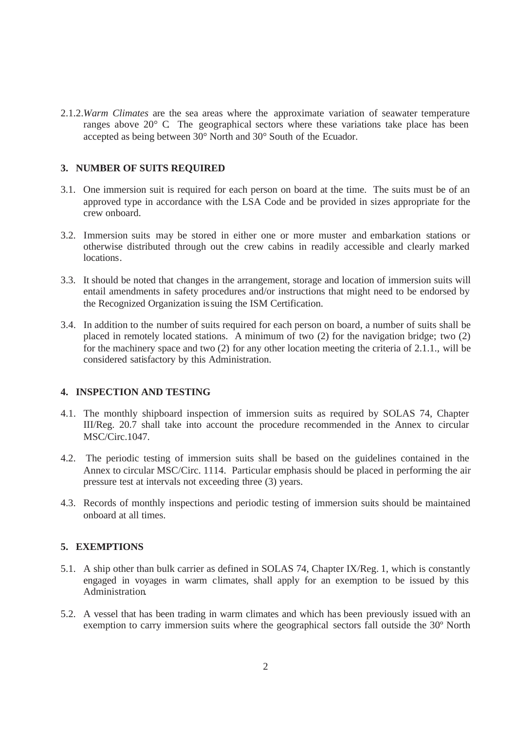2.1.2.*Warm Climates* are the sea areas where the approximate variation of seawater temperature ranges above 20° C. The geographical sectors where these variations take place has been accepted as being between 30° North and 30° South of the Ecuador.

#### **3. NUMBER OF SUITS REQUIRED**

- 3.1. One immersion suit is required for each person on board at the time. The suits must be of an approved type in accordance with the LSA Code and be provided in sizes appropriate for the crew onboard.
- 3.2. Immersion suits may be stored in either one or more muster and embarkation stations or otherwise distributed through out the crew cabins in readily accessible and clearly marked locations.
- 3.3. It should be noted that changes in the arrangement, storage and location of immersion suits will entail amendments in safety procedures and/or instructions that might need to be endorsed by the Recognized Organization issuing the ISM Certification.
- 3.4. In addition to the number of suits required for each person on board, a number of suits shall be placed in remotely located stations. A minimum of two (2) for the navigation bridge; two (2) for the machinery space and two (2) for any other location meeting the criteria of 2.1.1., will be considered satisfactory by this Administration.

## **4. INSPECTION AND TESTING**

- 4.1. The monthly shipboard inspection of immersion suits as required by SOLAS 74, Chapter III/Reg. 20.7 shall take into account the procedure recommended in the Annex to circular MSC/Circ.1047.
- 4.2. The periodic testing of immersion suits shall be based on the guidelines contained in the Annex to circular MSC/Circ. 1114. Particular emphasis should be placed in performing the air pressure test at intervals not exceeding three (3) years.
- 4.3. Records of monthly inspections and periodic testing of immersion suits should be maintained onboard at all times.

## **5. EXEMPTIONS**

- 5.1. A ship other than bulk carrier as defined in SOLAS 74, Chapter IX/Reg. 1, which is constantly engaged in voyages in warm climates, shall apply for an exemption to be issued by this Administration.
- 5.2. A vessel that has been trading in warm climates and which has been previously issued with an exemption to carry immersion suits where the geographical sectors fall outside the 30º North